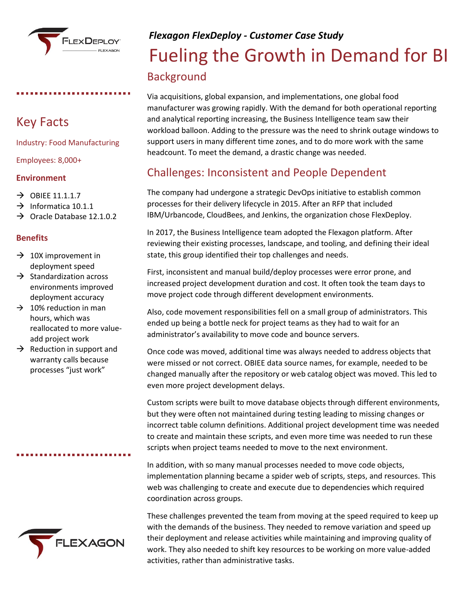

. . . . . . . . . . . .

# **Background** *Flexagon FlexDeploy - Customer Case Study* Fueling the Growth in Demand for BI

Via acquisitions, global expansion, and implementations, one global food manufacturer was growing rapidly. With the demand for both operational reporting and analytical reporting increasing, the Business Intelligence team saw their workload balloon. Adding to the pressure was the need to shrink outage windows to support users in many different time zones, and to do more work with the same headcount. To meet the demand, a drastic change was needed.

### Challenges: Inconsistent and People Dependent

The company had undergone a strategic DevOps initiative to establish common processes for their delivery lifecycle in 2015. After an RFP that included IBM/Urbancode, CloudBees, and Jenkins, the organization chose FlexDeploy.

In 2017, the Business Intelligence team adopted the Flexagon platform. After reviewing their existing processes, landscape, and tooling, and defining their ideal state, this group identified their top challenges and needs.

First, inconsistent and manual build/deploy processes were error prone, and increased project development duration and cost. It often took the team days to move project code through different development environments.

Also, code movement responsibilities fell on a small group of administrators. This ended up being a bottle neck for project teams as they had to wait for an administrator's availability to move code and bounce servers.

Once code was moved, additional time was always needed to address objects that were missed or not correct. OBIEE data source names, for example, needed to be changed manually after the repository or web catalog object was moved. This led to even more project development delays.

Custom scripts were built to move database objects through different environments, but they were often not maintained during testing leading to missing changes or incorrect table column definitions. Additional project development time was needed to create and maintain these scripts, and even more time was needed to run these scripts when project teams needed to move to the next environment.

In addition, with so many manual processes needed to move code objects, implementation planning became a spider web of scripts, steps, and resources. This web was challenging to create and execute due to dependencies which required coordination across groups.

These challenges prevented the team from moving at the speed required to keep up with the demands of the business. They needed to remove variation and speed up their deployment and release activities while maintaining and improving quality of work. They also needed to shift key resources to be working on more value-added activities, rather than administrative tasks.

# Key Facts

Industry: Food Manufacturing

Employees: 8,000+

#### **Environment**

- $\rightarrow$  OBIEE 11.1.1.7
- $\rightarrow$  Informatica 10.1.1
- $\rightarrow$  Oracle Database 12.1.0.2

#### **Benefits**

- $\rightarrow$  10X improvement in deployment speed
- $\rightarrow$  Standardization across environments improved deployment accuracy
- $\rightarrow$  10% reduction in man hours, which was reallocated to more valueadd project work
- $\rightarrow$  Reduction in support and warranty calls because processes "just work"